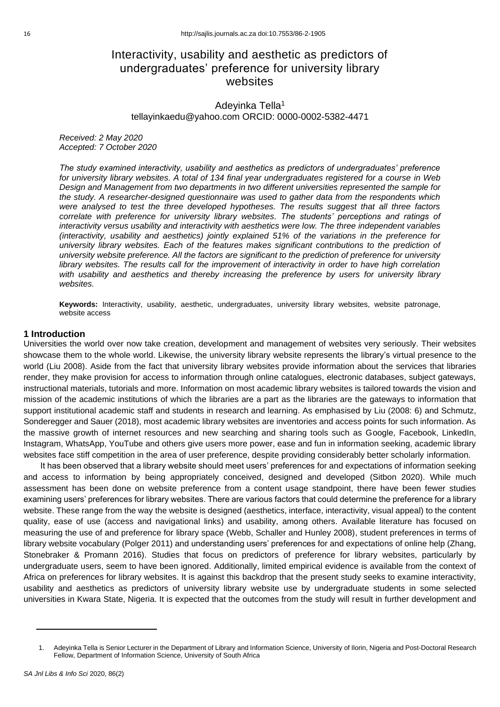# Interactivity, usability and aesthetic as predictors of undergraduates' preference for university library websites

Adeyinka Tella<sup>1</sup> tellayinkaedu@yahoo.com ORCID: 0000-0002-5382-4471

*Received: 2 May 2020 Accepted: 7 October 2020*

*The study examined interactivity, usability and aesthetics as predictors of undergraduates' preference for university library websites. A total of 134 final year undergraduates registered for a course in Web Design and Management from two departments in two different universities represented the sample for the study. A researcher-designed questionnaire was used to gather data from the respondents which were analysed to test the three developed hypotheses. The results suggest that all three factors correlate with preference for university library websites. The students' perceptions and ratings of interactivity versus usability and interactivity with aesthetics were low. The three independent variables (interactivity, usability and aesthetics) jointly explained 51% of the variations in the preference for university library websites. Each of the features makes significant contributions to the prediction of university website preference. All the factors are significant to the prediction of preference for university library websites. The results call for the improvement of interactivity in order to have high correlation*  with usability and aesthetics and thereby increasing the preference by users for university library *websites.* 

**Keywords:** Interactivity, usability, aesthetic, undergraduates, university library websites, website patronage, website access

#### **1 Introduction**

Universities the world over now take creation, development and management of websites very seriously. Their websites showcase them to the whole world. Likewise, the university library website represents the library's virtual presence to the world (Liu 2008). Aside from the fact that university library websites provide information about the services that libraries render, they make provision for access to information through online catalogues, electronic databases, subject gateways, instructional materials, tutorials and more. Information on most academic library websites is tailored towards the vision and mission of the academic institutions of which the libraries are a part as the libraries are the gateways to information that support institutional academic staff and students in research and learning. As emphasised by Liu (2008: 6) and Schmutz, Sonderegger and Sauer (2018), most academic library websites are inventories and access points for such information. As the massive growth of internet resources and new searching and sharing tools such as Google, Facebook, LinkedIn, Instagram, WhatsApp, YouTube and others give users more power, ease and fun in information seeking, academic library websites face stiff competition in the area of user preference, despite providing considerably better scholarly information.

It has been observed that a library website should meet users' preferences for and expectations of information seeking and access to information by being appropriately conceived, designed and developed (Sitbon 2020). While much assessment has been done on website preference from a content usage standpoint, there have been fewer studies examining users' preferences for library websites. There are various factors that could determine the preference for a library website. These range from the way the website is designed (aesthetics, interface, interactivity, visual appeal) to the content quality, ease of use (access and navigational links) and usability, among others. Available literature has focused on measuring the use of and preference for library space (Webb, Schaller and Hunley 2008), student preferences in terms of library website vocabulary (Polger 2011) and understanding users' preferences for and expectations of online help (Zhang, Stonebraker & Promann 2016). Studies that focus on predictors of preference for library websites, particularly by undergraduate users, seem to have been ignored. Additionally, limited empirical evidence is available from the context of Africa on preferences for library websites. It is against this backdrop that the present study seeks to examine interactivity, usability and aesthetics as predictors of university library website use by undergraduate students in some selected universities in Kwara State, Nigeria. It is expected that the outcomes from the study will result in further development and

<sup>1.</sup> Adeyinka Tella is Senior Lecturer in the Department of Library and Information Science, University of Ilorin, Nigeria and Post-Doctoral Research Fellow, Department of Information Science, University of South Africa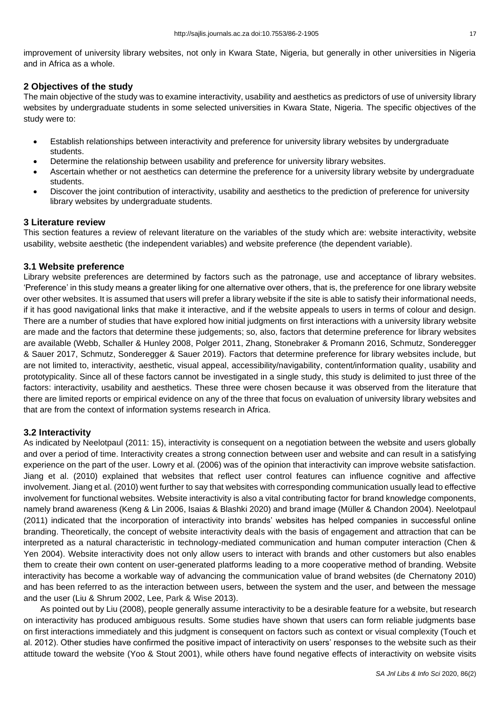improvement of university library websites, not only in Kwara State, Nigeria, but generally in other universities in Nigeria and in Africa as a whole.

# **2 Objectives of the study**

The main objective of the study was to examine interactivity, usability and aesthetics as predictors of use of university library websites by undergraduate students in some selected universities in Kwara State, Nigeria. The specific objectives of the study were to:

- Establish relationships between interactivity and preference for university library websites by undergraduate students.
- Determine the relationship between usability and preference for university library websites.
- Ascertain whether or not aesthetics can determine the preference for a university library website by undergraduate students.
- Discover the joint contribution of interactivity, usability and aesthetics to the prediction of preference for university library websites by undergraduate students.

# **3 Literature review**

This section features a review of relevant literature on the variables of the study which are: website interactivity, website usability, website aesthetic (the independent variables) and website preference (the dependent variable).

# **3.1 Website preference**

Library website preferences are determined by factors such as the patronage, use and acceptance of library websites. 'Preference' in this study means a greater liking for one alternative over others, that is, the preference for one library website over other websites. It is assumed that users will prefer a library website if the site is able to satisfy their informational needs, if it has good navigational links that make it interactive, and if the website appeals to users in terms of colour and design. There are a number of studies that have explored how initial judgments on first interactions with a university library website are made and the factors that determine these judgements; so, also, factors that determine preference for library websites are available (Webb, Schaller & Hunley 2008, Polger 2011, Zhang, Stonebraker & Promann 2016, Schmutz, Sonderegger & Sauer 2017, Schmutz, Sonderegger & Sauer 2019). Factors that determine preference for library websites include, but are not limited to, interactivity, aesthetic, visual appeal, accessibility/navigability, content/information quality, usability and prototypicality. Since all of these factors cannot be investigated in a single study, this study is delimited to just three of the factors: interactivity, usability and aesthetics. These three were chosen because it was observed from the literature that there are limited reports or empirical evidence on any of the three that focus on evaluation of university library websites and that are from the context of information systems research in Africa.

# **3.2 Interactivity**

As indicated by Neelotpaul (2011: 15), interactivity is consequent on a negotiation between the website and users globally and over a period of time. Interactivity creates a strong connection between user and website and can result in a satisfying experience on the part of the user. Lowry et al. (2006) was of the opinion that interactivity can improve website satisfaction. Jiang et al. (2010) explained that websites that reflect user control features can influence cognitive and affective involvement. Jiang et al. (2010) went further to say that websites with corresponding communication usually lead to effective involvement for functional websites. Website interactivity is also a vital contributing factor for brand knowledge components, namely brand awareness (Keng & Lin 2006, Isaias & Blashki 2020) and brand image (Müller & Chandon 2004). Neelotpaul (2011) indicated that the incorporation of interactivity into brands' websites has helped companies in successful online branding. Theoretically, the concept of website interactivity deals with the basis of engagement and attraction that can be interpreted as a natural characteristic in technology-mediated communication and human computer interaction (Chen & Yen 2004). Website interactivity does not only allow users to interact with brands and other customers but also enables them to create their own content on user-generated platforms leading to a more cooperative method of branding. Website interactivity has become a workable way of advancing the communication value of brand websites (de Chernatony 2010) and has been referred to as the interaction between users, between the system and the user, and between the message and the user (Liu & Shrum 2002, Lee, Park & Wise 2013).

As pointed out by Liu (2008), people generally assume interactivity to be a desirable feature for a website, but research on interactivity has produced ambiguous results. Some studies have shown that users can form reliable judgments base on first interactions immediately and this judgment is consequent on factors such as context or visual complexity (Touch et al. 2012). Other studies have confirmed the positive impact of interactivity on users' responses to the website such as their attitude toward the website (Yoo & Stout 2001), while others have found negative effects of interactivity on website visits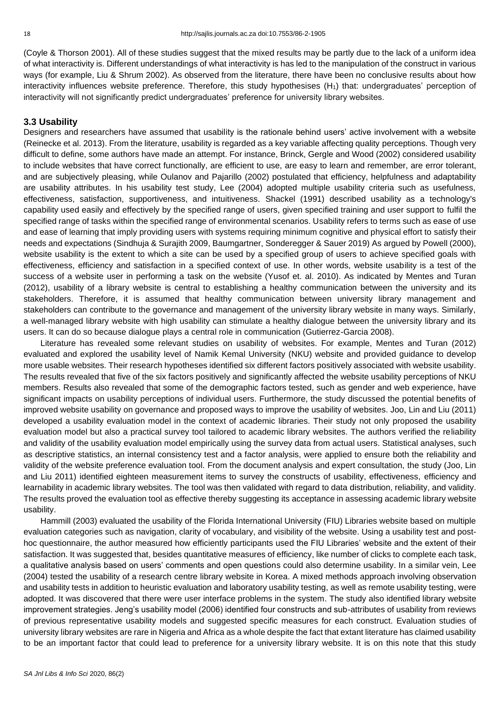(Coyle & Thorson 2001). All of these studies suggest that the mixed results may be partly due to the lack of a uniform idea of what interactivity is. Different understandings of what interactivity is has led to the manipulation of the construct in various ways (for example, Liu & Shrum 2002). As observed from the literature, there have been no conclusive results about how interactivity influences website preference. Therefore, this study hypothesises (H<sub>1</sub>) that: undergraduates' perception of interactivity will not significantly predict undergraduates' preference for university library websites.

#### **3.3 Usability**

Designers and researchers have assumed that usability is the rationale behind users' active involvement with a website (Reinecke et al. 2013). From the literature, usability is regarded as a key variable affecting quality perceptions. Though very difficult to define, some authors have made an attempt. For instance, Brinck, Gergle and Wood (2002) considered usability to include websites that have correct functionally, are efficient to use, are easy to learn and remember, are error tolerant, and are subjectively pleasing, while Oulanov and Pajarillo (2002) postulated that efficiency, helpfulness and adaptability are usability attributes. In his usability test study, Lee (2004) adopted multiple usability criteria such as usefulness, effectiveness, satisfaction, supportiveness, and intuitiveness. Shackel (1991) described usability as a technology's capability used easily and effectively by the specified range of users, given specified training and user support to fulfil the specified range of tasks within the specified range of environmental scenarios. Usability refers to terms such as ease of use and ease of learning that imply providing users with systems requiring minimum cognitive and physical effort to satisfy their needs and expectations (Sindhuja & Surajith 2009, Baumgartner, Sonderegger & Sauer 2019) As argued by Powell (2000), website usability is the extent to which a site can be used by a specified group of users to achieve specified goals with effectiveness, efficiency and satisfaction in a specified context of use. In other words, website usability is a test of the success of a website user in performing a task on the website (Yusof et. al. 2010). As indicated by Mentes and Turan (2012), usability of a library website is central to establishing a healthy communication between the university and its stakeholders. Therefore, it is assumed that healthy communication between university library management and stakeholders can contribute to the governance and management of the university library website in many ways. Similarly, a well-managed library website with high usability can stimulate a healthy dialogue between the university library and its users. It can do so because dialogue plays a central role in communication (Gutierrez-Garcia 2008).

Literature has revealed some relevant studies on usability of websites. For example, Mentes and Turan (2012) evaluated and explored the usability level of Namik Kemal University (NKU) website and provided guidance to develop more usable websites. Their research hypotheses identified six different factors positively associated with website usability. The results revealed that five of the six factors positively and significantly affected the website usability perceptions of NKU members. Results also revealed that some of the demographic factors tested, such as gender and web experience, have significant impacts on usability perceptions of individual users. Furthermore, the study discussed the potential benefits of improved website usability on governance and proposed ways to improve the usability of websites. Joo, Lin and Liu (2011) developed a usability evaluation model in the context of academic libraries. Their study not only proposed the usability evaluation model but also a practical survey tool tailored to academic library websites. The authors verified the reliability and validity of the usability evaluation model empirically using the survey data from actual users. Statistical analyses, such as descriptive statistics, an internal consistency test and a factor analysis, were applied to ensure both the reliability and validity of the website preference evaluation tool. From the document analysis and expert consultation, the study (Joo, Lin and Liu 2011) identified eighteen measurement items to survey the constructs of usability, effectiveness, efficiency and learnability in academic library websites. The tool was then validated with regard to data distribution, reliability, and validity. The results proved the evaluation tool as effective thereby suggesting its acceptance in assessing academic library website usability.

Hammill (2003) evaluated the usability of the Florida International University (FIU) Libraries website based on multiple evaluation categories such as navigation, clarity of vocabulary, and visibility of the website. Using a usability test and posthoc questionnaire, the author measured how efficiently participants used the FIU Libraries' website and the extent of their satisfaction. It was suggested that, besides quantitative measures of efficiency, like number of clicks to complete each task, a qualitative analysis based on users' comments and open questions could also determine usability. In a similar vein, Lee (2004) tested the usability of a research centre library website in Korea. A mixed methods approach involving observation and usability tests in addition to heuristic evaluation and laboratory usability testing, as well as remote usability testing, were adopted. It was discovered that there were user interface problems in the system. The study also identified library website improvement strategies. Jeng's usability model (2006) identified four constructs and sub-attributes of usability from reviews of previous representative usability models and suggested specific measures for each construct. Evaluation studies of university library websites are rare in Nigeria and Africa as a whole despite the fact that extant literature has claimed usability to be an important factor that could lead to preference for a university library website. It is on this note that this study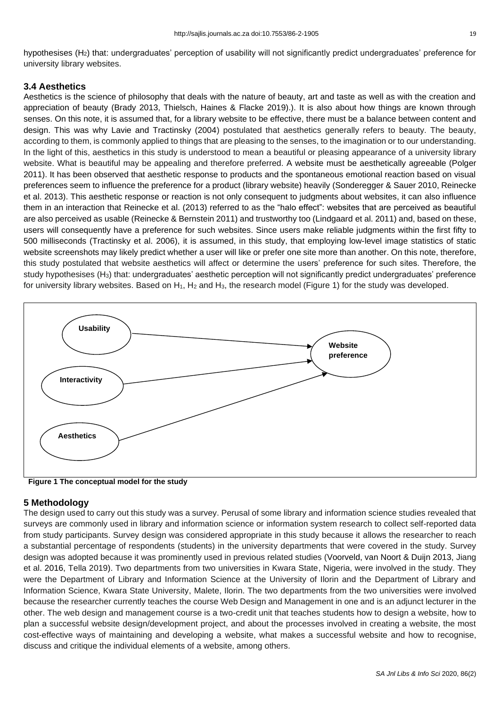hypothesises (H<sub>2</sub>) that: undergraduates' perception of usability will not significantly predict undergraduates' preference for university library websites.

# **3.4 Aesthetics**

Aesthetics is the science of philosophy that deals with the nature of beauty, art and taste as well as with the creation and appreciation of beauty (Brady 2013, Thielsch, Haines & Flacke 2019).). It is also about how things are known through senses. On this note, it is assumed that, for a library website to be effective, there must be a balance between content and design. This was why Lavie and Tractinsky (2004) postulated that aesthetics generally refers to beauty. The beauty, according to them, is commonly applied to things that are pleasing to the senses, to the imagination or to our understanding. In the light of this, aesthetics in this study is understood to mean a beautiful or pleasing appearance of a university library website. What is beautiful may be appealing and therefore preferred. A website must be aesthetically agreeable (Polger 2011). It has been observed that aesthetic response to products and the spontaneous emotional reaction based on visual preferences seem to influence the preference for a product (library website) heavily (Sonderegger & Sauer 2010, Reinecke et al. 2013). This aesthetic response or reaction is not only consequent to judgments about websites, it can also influence them in an interaction that Reinecke et al. (2013) referred to as the "halo effect": websites that are perceived as beautiful are also perceived as usable (Reinecke & Bernstein 2011) and trustworthy too (Lindgaard et al. 2011) and, based on these, users will consequently have a preference for such websites. Since users make reliable judgments within the first fifty to 500 milliseconds (Tractinsky et al. 2006), it is assumed, in this study, that employing low-level image statistics of static website screenshots may likely predict whether a user will like or prefer one site more than another. On this note, therefore, this study postulated that website aesthetics will affect or determine the users' preference for such sites. Therefore, the study hypothesises (H3) that: undergraduates' aesthetic perception will not significantly predict undergraduates' preference for university library websites. Based on  $H_1$ ,  $H_2$  and  $H_3$ , the research model (Figure 1) for the study was developed.



**Figure 1 The conceptual model for the study**

# **5 Methodology**

The design used to carry out this study was a survey. Perusal of some library and information science studies revealed that surveys are commonly used in library and information science or information system research to collect self-reported data from study participants. Survey design was considered appropriate in this study because it allows the researcher to reach a substantial percentage of respondents (students) in the university departments that were covered in the study. Survey design was adopted because it was prominently used in previous related studies (Voorveld, van Noort & Duijn 2013, Jiang et al. 2016, Tella 2019). Two departments from two universities in Kwara State, Nigeria, were involved in the study. They were the Department of Library and Information Science at the University of Ilorin and the Department of Library and Information Science, Kwara State University, Malete, Ilorin. The two departments from the two universities were involved because the researcher currently teaches the course Web Design and Management in one and is an adjunct lecturer in the other. The web design and management course is a two-credit unit that teaches students how to design a website, how to plan a successful website design/development project, and about the processes involved in creating a website, the most cost-effective ways of maintaining and developing a website, what makes a successful website and how to recognise, discuss and critique the individual elements of a website, among others.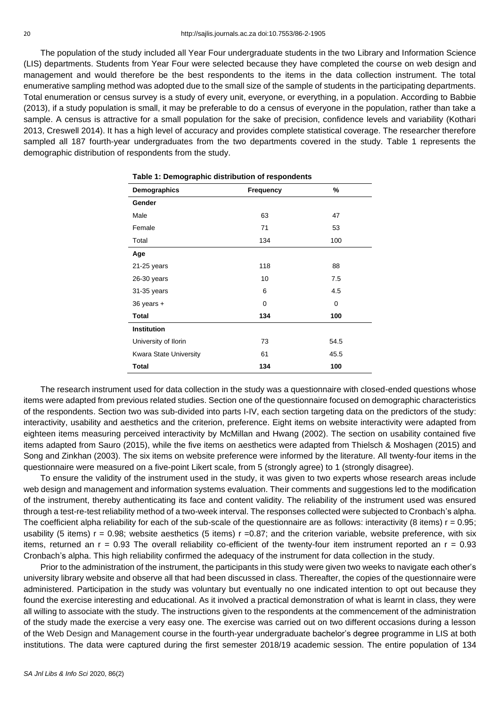The population of the study included all Year Four undergraduate students in the two Library and Information Science (LIS) departments. Students from Year Four were selected because they have completed the course on web design and management and would therefore be the best respondents to the items in the data collection instrument. The total enumerative sampling method was adopted due to the small size of the sample of students in the participating departments. Total enumeration or census survey is a study of every unit, everyone, or everything, in a population. According to Babbie (2013), if a study population is small, it may be preferable to do a census of everyone in the population, rather than take a sample. A census is attractive for a small population for the sake of precision, confidence levels and variability (Kothari 2013, Creswell 2014). It has a high level of accuracy and provides complete statistical coverage. The researcher therefore sampled all 187 fourth-year undergraduates from the two departments covered in the study. Table 1 represents the demographic distribution of respondents from the study.

| Table 1: Demographic distribution of respondents |                       |      |  |  |  |  |
|--------------------------------------------------|-----------------------|------|--|--|--|--|
| Demographics                                     | %<br><b>Frequency</b> |      |  |  |  |  |
| Gender                                           |                       |      |  |  |  |  |
| Male                                             | 63                    | 47   |  |  |  |  |
| Female                                           | 71                    | 53   |  |  |  |  |
| Total                                            | 134                   | 100  |  |  |  |  |
| Age                                              |                       |      |  |  |  |  |
| $21-25$ years                                    | 118                   | 88   |  |  |  |  |
| $26-30$ years                                    | 10                    | 7.5  |  |  |  |  |
| 31-35 years                                      | 6                     | 4.5  |  |  |  |  |
| $36$ years $+$                                   | 0                     | 0    |  |  |  |  |
| <b>Total</b>                                     | 134                   | 100  |  |  |  |  |
| <b>Institution</b>                               |                       |      |  |  |  |  |
| University of Ilorin                             | 73                    | 54.5 |  |  |  |  |
| <b>Kwara State University</b>                    | 61                    | 45.5 |  |  |  |  |
| Total                                            | 134                   | 100  |  |  |  |  |

The research instrument used for data collection in the study was a questionnaire with closed-ended questions whose items were adapted from previous related studies. Section one of the questionnaire focused on demographic characteristics of the respondents. Section two was sub-divided into parts I-IV, each section targeting data on the predictors of the study: interactivity, usability and aesthetics and the criterion, preference. Eight items on website interactivity were adapted from eighteen items measuring perceived interactivity by McMillan and Hwang (2002). The section on usability contained five items adapted from Sauro (2015), while the five items on aesthetics were adapted from Thielsch & Moshagen (2015) and Song and Zinkhan (2003). The six items on website preference were informed by the literature. All twenty-four items in the questionnaire were measured on a five-point Likert scale, from 5 (strongly agree) to 1 (strongly disagree).

To ensure the validity of the instrument used in the study, it was given to two experts whose research areas include web design and management and information systems evaluation. Their comments and suggestions led to the modification of the instrument, thereby authenticating its face and content validity. The reliability of the instrument used was ensured through a test-re-test reliability method of a two-week interval. The responses collected were subjected to Cronbach's alpha. The coefficient alpha reliability for each of the sub-scale of the questionnaire are as follows: interactivity (8 items)  $r = 0.95$ ; usability (5 items)  $r = 0.98$ ; website aesthetics (5 items)  $r = 0.87$ ; and the criterion variable, website preference, with six items, returned an  $r = 0.93$  The overall reliability co-efficient of the twenty-four item instrument reported an  $r = 0.93$ Cronbach's alpha. This high reliability confirmed the adequacy of the instrument for data collection in the study.

Prior to the administration of the instrument, the participants in this study were given two weeks to navigate each other's university library website and observe all that had been discussed in class. Thereafter, the copies of the questionnaire were administered. Participation in the study was voluntary but eventually no one indicated intention to opt out because they found the exercise interesting and educational. As it involved a practical demonstration of what is learnt in class, they were all willing to associate with the study. The instructions given to the respondents at the commencement of the administration of the study made the exercise a very easy one. The exercise was carried out on two different occasions during a lesson of the Web Design and Management course in the fourth-year undergraduate bachelor's degree programme in LIS at both institutions. The data were captured during the first semester 2018/19 academic session. The entire population of 134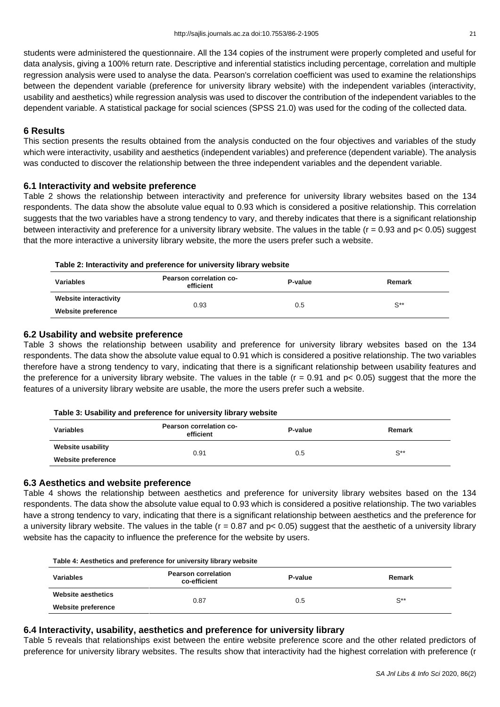students were administered the questionnaire. All the 134 copies of the instrument were properly completed and useful for data analysis, giving a 100% return rate. Descriptive and inferential statistics including percentage, correlation and multiple regression analysis were used to analyse the data. Pearson's correlation coefficient was used to examine the relationships between the dependent variable (preference for university library website) with the independent variables (interactivity, usability and aesthetics) while regression analysis was used to discover the contribution of the independent variables to the dependent variable. A statistical package for social sciences (SPSS 21.0) was used for the coding of the collected data.

# **6 Results**

This section presents the results obtained from the analysis conducted on the four objectives and variables of the study which were interactivity, usability and aesthetics (independent variables) and preference (dependent variable). The analysis was conducted to discover the relationship between the three independent variables and the dependent variable.

# **6.1 Interactivity and website preference**

Table 2 shows the relationship between interactivity and preference for university library websites based on the 134 respondents. The data show the absolute value equal to 0.93 which is considered a positive relationship. This correlation suggests that the two variables have a strong tendency to vary, and thereby indicates that there is a significant relationship between interactivity and preference for a university library website. The values in the table (r = 0.93 and p< 0.05) suggest that the more interactive a university library website, the more the users prefer such a website.

#### **Table 2: Interactivity and preference for university library website**

| <b>Variables</b>      | Pearson correlation co-<br>efficient | P-value | Remark         |  |
|-----------------------|--------------------------------------|---------|----------------|--|
| Website interactivity | 0.93                                 |         |                |  |
| Website preference    |                                      | 0.5     | $S^{\ast\ast}$ |  |

### **6.2 Usability and website preference**

Table 3 shows the relationship between usability and preference for university library websites based on the 134 respondents. The data show the absolute value equal to 0.91 which is considered a positive relationship. The two variables therefore have a strong tendency to vary, indicating that there is a significant relationship between usability features and the preference for a university library website. The values in the table ( $r = 0.91$  and  $p < 0.05$ ) suggest that the more the features of a university library website are usable, the more the users prefer such a website.

| Table 3: Usability and preference for university library website |  |
|------------------------------------------------------------------|--|
|------------------------------------------------------------------|--|

| <b>Variables</b>          | Pearson correlation co-<br>efficient | P-value | Remark   |
|---------------------------|--------------------------------------|---------|----------|
| Website usability         | 0.91                                 |         | $S^{**}$ |
| <b>Website preference</b> |                                      | 0.5     |          |

# **6.3 Aesthetics and website preference**

Table 4 shows the relationship between aesthetics and preference for university library websites based on the 134 respondents. The data show the absolute value equal to 0.93 which is considered a positive relationship. The two variables have a strong tendency to vary, indicating that there is a significant relationship between aesthetics and the preference for a university library website. The values in the table ( $r = 0.87$  and  $p < 0.05$ ) suggest that the aesthetic of a university library website has the capacity to influence the preference for the website by users.

| Table 4: Aesthetics and preference for university library website |                                            |         |                   |  |
|-------------------------------------------------------------------|--------------------------------------------|---------|-------------------|--|
| <b>Variables</b>                                                  | <b>Pearson correlation</b><br>co-efficient | P-value | Remark            |  |
| Website aesthetics                                                | 0.87                                       | 0.5     | $\mathrm{S}^{**}$ |  |
| Website preference                                                |                                            |         |                   |  |

# **6.4 Interactivity, usability, aesthetics and preference for university library**

Table 5 reveals that relationships exist between the entire website preference score and the other related predictors of preference for university library websites. The results show that interactivity had the highest correlation with preference (r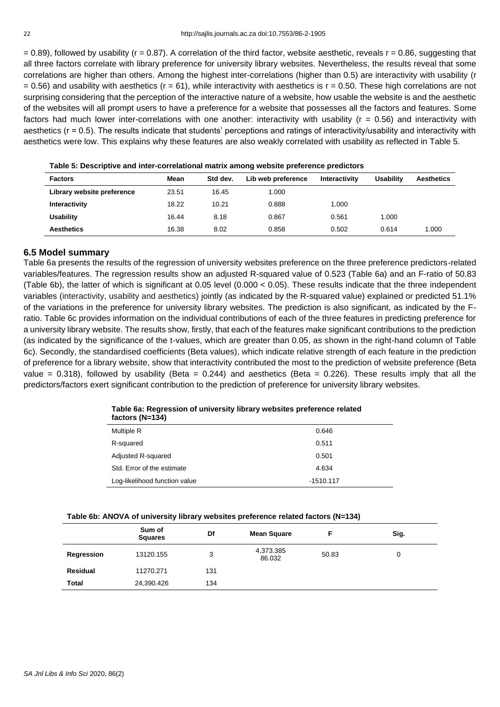$= 0.89$ ), followed by usability (r = 0.87). A correlation of the third factor, website aesthetic, reveals  $r = 0.86$ , suggesting that all three factors correlate with library preference for university library websites. Nevertheless, the results reveal that some correlations are higher than others. Among the highest inter-correlations (higher than 0.5) are interactivity with usability (r  $= 0.56$ ) and usability with aesthetics (r  $= 61$ ), while interactivity with aesthetics is r = 0.50. These high correlations are not surprising considering that the perception of the interactive nature of a website, how usable the website is and the aesthetic of the websites will all prompt users to have a preference for a website that possesses all the factors and features. Some factors had much lower inter-correlations with one another: interactivity with usability  $(r = 0.56)$  and interactivity with aesthetics (r = 0.5). The results indicate that students' perceptions and ratings of interactivity/usability and interactivity with aesthetics were low. This explains why these features are also weakly correlated with usability as reflected in Table 5.

| $\sim$ , and $\sim$ , and the set of the set of the set of the set of the set of the set of the set of the set of the set of the set of the set of the set of the set of the set of the set of the set of the set of the set of t |       |          |                    |               |                  |                   |
|-----------------------------------------------------------------------------------------------------------------------------------------------------------------------------------------------------------------------------------|-------|----------|--------------------|---------------|------------------|-------------------|
| <b>Factors</b>                                                                                                                                                                                                                    | Mean  | Std dev. | Lib web preference | Interactivity | <b>Usability</b> | <b>Aesthetics</b> |
| Library website preference                                                                                                                                                                                                        | 23.51 | 16.45    | 1.000              |               |                  |                   |
| Interactivity                                                                                                                                                                                                                     | 18.22 | 10.21    | 0.888              | 1.000         |                  |                   |
| <b>Usability</b>                                                                                                                                                                                                                  | 16.44 | 8.18     | 0.867              | 0.561         | 1.000            |                   |
| <b>Aesthetics</b>                                                                                                                                                                                                                 | 16.38 | 8.02     | 0.858              | 0.502         | 0.614            | 1.000             |

**Table 5: Descriptive and inter-correlational matrix among website preference predictors**

# **6.5 Model summary**

Table 6a presents the results of the regression of university websites preference on the three preference predictors-related variables/features. The regression results show an adjusted R-squared value of 0.523 (Table 6a) and an F-ratio of 50.83 (Table 6b), the latter of which is significant at 0.05 level (0.000 < 0.05). These results indicate that the three independent variables (interactivity, usability and aesthetics) jointly (as indicated by the R-squared value) explained or predicted 51.1% of the variations in the preference for university library websites. The prediction is also significant, as indicated by the Fratio. Table 6c provides information on the individual contributions of each of the three features in predicting preference for a university library website. The results show, firstly, that each of the features make significant contributions to the prediction (as indicated by the significance of the t-values, which are greater than 0.05, as shown in the right-hand column of Table 6c). Secondly, the standardised coefficients (Beta values), which indicate relative strength of each feature in the prediction of preference for a library website, show that interactivity contributed the most to the prediction of website preference (Beta value = 0.318), followed by usability (Beta = 0.244) and aesthetics (Beta = 0.226). These results imply that all the predictors/factors exert significant contribution to the prediction of preference for university library websites.

| Table ou. Inequestion of university instary websites preference related<br>factors (N=134) |       |
|--------------------------------------------------------------------------------------------|-------|
| Multiple R                                                                                 | 0.646 |
| R-squared                                                                                  | 0.511 |

# **Table 6a: Regression of university library websites preference related**

| Multiple R                    | 0.646       |
|-------------------------------|-------------|
| R-squared                     | 0.511       |
| Adjusted R-squared            | 0.501       |
| Std. Error of the estimate    | 4.634       |
| Log-likelihood function value | $-1510.117$ |

#### **Table 6b: ANOVA of university library websites preference related factors (N=134)**

|                 | Sum of<br><b>Squares</b> | Df  | <b>Mean Square</b>  |       | Sig. |
|-----------------|--------------------------|-----|---------------------|-------|------|
| Regression      | 13120.155                | 3   | 4,373.385<br>86.032 | 50.83 | 0    |
| <b>Residual</b> | 11270.271                | 131 |                     |       |      |
| Total           | 24,390.426               | 134 |                     |       |      |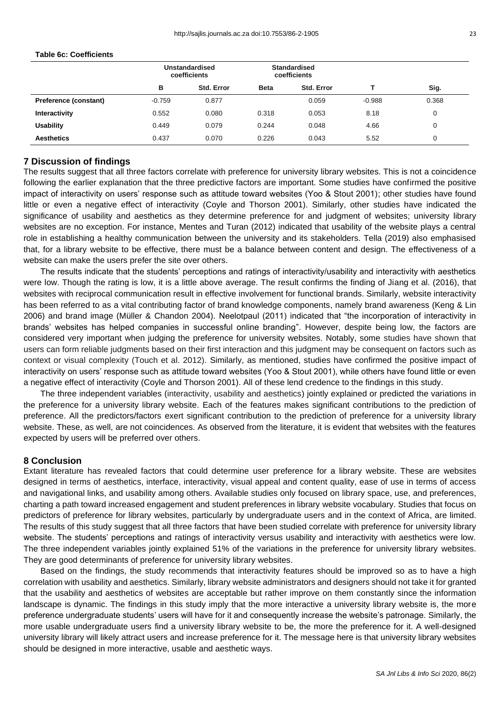#### **Table 6c: Coefficients**

|                              | Unstandardised<br>coefficients |                   | <b>Standardised</b><br>coefficients |            |          |       |
|------------------------------|--------------------------------|-------------------|-------------------------------------|------------|----------|-------|
|                              | в                              | <b>Std. Error</b> | <b>Beta</b>                         | Std. Error |          | Sig.  |
| <b>Preference (constant)</b> | $-0.759$                       | 0.877             |                                     | 0.059      | $-0.988$ | 0.368 |
| Interactivity                | 0.552                          | 0.080             | 0.318                               | 0.053      | 8.18     | 0     |
| <b>Usability</b>             | 0.449                          | 0.079             | 0.244                               | 0.048      | 4.66     | 0     |
| <b>Aesthetics</b>            | 0.437                          | 0.070             | 0.226                               | 0.043      | 5.52     | 0     |

# **7 Discussion of findings**

The results suggest that all three factors correlate with preference for university library websites. This is not a coincidence following the earlier explanation that the three predictive factors are important. Some studies have confirmed the positive impact of interactivity on users' response such as attitude toward websites (Yoo & Stout 2001); other studies have found little or even a negative effect of interactivity (Coyle and Thorson 2001). Similarly, other studies have indicated the significance of usability and aesthetics as they determine preference for and judgment of websites; university library websites are no exception. For instance, Mentes and Turan (2012) indicated that usability of the website plays a central role in establishing a healthy communication between the university and its stakeholders. Tella (2019) also emphasised that, for a library website to be effective, there must be a balance between content and design. The effectiveness of a website can make the users prefer the site over others.

The results indicate that the students' perceptions and ratings of interactivity/usability and interactivity with aesthetics were low. Though the rating is low, it is a little above average. The result confirms the finding of Jiang et al. (2016), that websites with reciprocal communication result in effective involvement for functional brands. Similarly, website interactivity has been referred to as a vital contributing factor of brand knowledge components, namely brand awareness (Keng & Lin 2006) and brand image (Müller & Chandon 2004). Neelotpaul (2011) indicated that "the incorporation of interactivity in brands' websites has helped companies in successful online branding". However, despite being low, the factors are considered very important when judging the preference for university websites. Notably, some studies have shown that users can form reliable judgments based on their first interaction and this judgment may be consequent on factors such as context or visual complexity (Touch et al. 2012). Similarly, as mentioned, studies have confirmed the positive impact of interactivity on users' response such as attitude toward websites (Yoo & Stout 2001), while others have found little or even a negative effect of interactivity (Coyle and Thorson 2001). All of these lend credence to the findings in this study.

The three independent variables (interactivity, usability and aesthetics) jointly explained or predicted the variations in the preference for a university library website. Each of the features makes significant contributions to the prediction of preference. All the predictors/factors exert significant contribution to the prediction of preference for a university library website. These, as well, are not coincidences. As observed from the literature, it is evident that websites with the features expected by users will be preferred over others.

#### **8 Conclusion**

Extant literature has revealed factors that could determine user preference for a library website. These are websites designed in terms of aesthetics, interface, interactivity, visual appeal and content quality, ease of use in terms of access and navigational links, and usability among others. Available studies only focused on library space, use, and preferences, charting a path toward increased engagement and student preferences in library website vocabulary. Studies that focus on predictors of preference for library websites, particularly by undergraduate users and in the context of Africa, are limited. The results of this study suggest that all three factors that have been studied correlate with preference for university library website. The students' perceptions and ratings of interactivity versus usability and interactivity with aesthetics were low. The three independent variables jointly explained 51% of the variations in the preference for university library websites. They are good determinants of preference for university library websites.

Based on the findings, the study recommends that interactivity features should be improved so as to have a high correlation with usability and aesthetics. Similarly, library website administrators and designers should not take it for granted that the usability and aesthetics of websites are acceptable but rather improve on them constantly since the information landscape is dynamic. The findings in this study imply that the more interactive a university library website is, the more preference undergraduate students' users will have for it and consequently increase the website's patronage. Similarly, the more usable undergraduate users find a university library website to be, the more the preference for it. A well-designed university library will likely attract users and increase preference for it. The message here is that university library websites should be designed in more interactive, usable and aesthetic ways.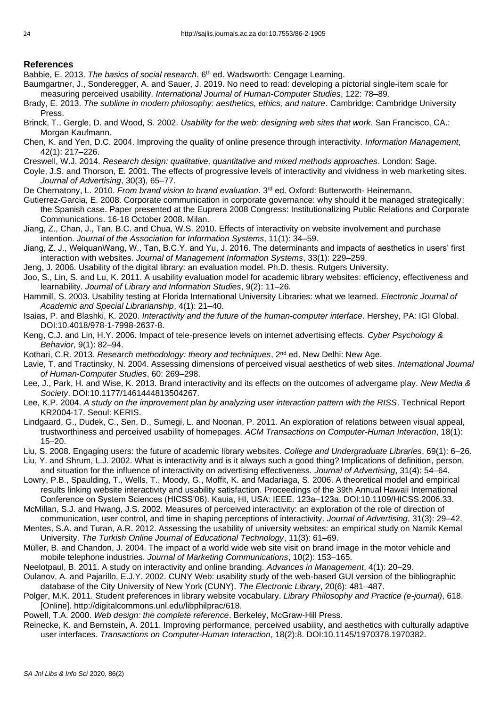# **References**

- Babbie, E. 2013. *The basics of social research*. 6th ed. Wadsworth: Cengage Learning.
- Baumgartner, J., Sonderegger, A. and Sauer, J. 2019. No need to read: developing a pictorial single-item scale for measuring perceived usability. *International Journal of Human-Computer Studies*, 122: 78–89.
- Brady, E. 2013. *The sublime in modern philosophy: aesthetics, ethics, and nature*. Cambridge: Cambridge University Press.
- Brinck, T., Gergle, D. and Wood, S. 2002. *Usability for the web: designing web sites that work*. San Francisco, CA.: Morgan Kaufmann.
- Chen, K. and Yen, D.C. 2004. Improving the quality of online presence through interactivity. *Information Management*, 42(1): 217–226.
- Creswell, W.J. 2014. *Research design: qualitative, quantitative and mixed methods approaches*. London: Sage.
- Coyle, J.S. and Thorson, E. 2001. The effects of progressive levels of interactivity and vividness in web marketing sites. *[Journal of Advertising](https://www.researchgate.net/journal/0091-3367_Journal_of_Advertising)*, 30(3), 65–77.
- De Chernatony, L. 2010. *From brand vision to brand evaluation*. 3<sup>rd</sup> ed. Oxford: Butterworth- Heinemann.
- Gutierrez-Garcia, E. 2008. Corporate communication in corporate governance: why should it be managed strategically: the Spanish case. Paper presented at the Euprera 2008 Congress: Institutionalizing Public Relations and Corporate Communications. 16-18 October 2008. Milan.
- Jiang, Z., Chan, J., Tan, B.C. and Chua, W.S. 2010. Effects of interactivity on website involvement and purchase intention. *Journal of the Association for Information Systems*, 11(1): 34–59.
- Jiang, Z. J., WeiquanWang, W., Tan, B.C.Y. and Yu, J. 2016. The determinants and impacts of aesthetics in users' first interaction with websites. *Journal of Management Information Systems*, 33(1): 229–259.
- Jeng, J. 2006. Usability of the digital library: an evaluation model. Ph.D. thesis. Rutgers University.
- Joo, S., Lin, S. and Lu, K. 2011. A usability evaluation model for academic library websites: efficiency, effectiveness and learnability. *Journal of Library and Information Studies*, 9(2): 11–26.
- Hammill, S. 2003. Usability testing at Florida International University Libraries: what we learned. *Electronic Journal of Academic and Special Librarianship*, 4(1): 21–40.
- Isaias, P. and Blashki, K. 2020. *Interactivity and the future of the human-computer interface*. Hershey, PA: IGI Global. DOI:10.4018/978-1-7998-2637-8.
- Keng, C.J. and Lin, H.Y. 2006. Impact of tele-presence levels on internet advertising effects. *Cyber Psychology & Behavior*, 9(1): 82–94.
- Kothari, C.R. 2013. *Research methodology: theory and techniques*, 2<sup>nd</sup> ed. New Delhi: New Age.
- Lavie, T. and Tractinsky, N. 2004. Assessing dimensions of perceived visual aesthetics of web sites. *International Journal of Human-Computer Studies*, 60: 269–298.
- Lee, J., Park, H. and Wise, K. 2013. Brand interactivity and its effects on the outcomes of advergame play. *New Media & Society*. DOI:10.1177/1461444813504267.
- Lee, K.P. 2004. *A study on the improvement plan by analyzing user interaction pattern with the RISS*. Technical Report KR2004-17. Seoul: KERIS.
- Lindgaard, G., Dudek, C., Sen, D., Sumegi, L. and Noonan, P. 2011. An exploration of relations between visual appeal, trustworthiness and perceived usability of homepages. *ACM Transactions on Computer-Human Interaction*, 18(1): 15–20.
- Liu, S. 2008. Engaging users: the future of academic library websites. *College and Undergraduate Libraries*, 69(1): 6–26.
- Liu, Y. and Shrum, L.J. 2002. What is interactivity and is it always such a good thing? Implications of definition, person, and situation for the influence of interactivity on advertising effectiveness. *Journal of Advertising*, 31(4): 54–64.
- Lowry, P.B., Spaulding, T., Wells, T., Moody, G., Moffit, K. and Madariaga, S. 2006. A theoretical model and empirical results linking website interactivity and usability satisfaction. Proceedings of the 39th Annual Hawaii International Conference on System Sciences (HICSS'06). Kauia, HI, USA: IEEE. 123a–123a. DOI:10.1109/HICSS.2006.33.
- McMillan, S.J. and Hwang, J.S. 2002. Measures of perceived interactivity: an exploration of the role of direction of communication, user control, and time in shaping perceptions of interactivity. *Journal of Advertising*, 31(3): 29–42.
- Mentes, S.A. and Turan, A.R. 2012. Assessing the usability of university websites: an empirical study on Namik Kemal University. *The Turkish Online Journal of Educational Technology*, 11(3): 61–69.
- Müller, B. and Chandon, J. 2004. The impact of a world wide web site visit on brand image in the motor vehicle and mobile telephone industries. *Journal of Marketing Communications*, 10(2): 153–165.
- Neelotpaul, B. 2011. A study on interactivity and online branding. *Advances in Management*, 4(1): 20–29.
- Oulanov, A. and Pajarillo, E.J.Y. 2002. CUNY Web: usability study of the web-based GUI version of the bibliographic database of the City University of New York (CUNY). *The Electronic Library*, 20(6): 481–487.
- Polger, M.K. 2011. Student preferences in library website vocabulary. *Library Philosophy and Practice (e-journal)*, 618. [Online]. http://digitalcommons.unl.edu/libphilprac/618.
- Powell, T.A. 2000. *Web design: the complete reference*. Berkeley, McGraw-Hill Press.
- Reinecke, K. and Bernstein, A. 2011. Improving performance, perceived usability, and aesthetics with culturally adaptive user interfaces. *Transactions on Computer-Human Interaction*, 18(2):8. DOI:10.1145/1970378.1970382.